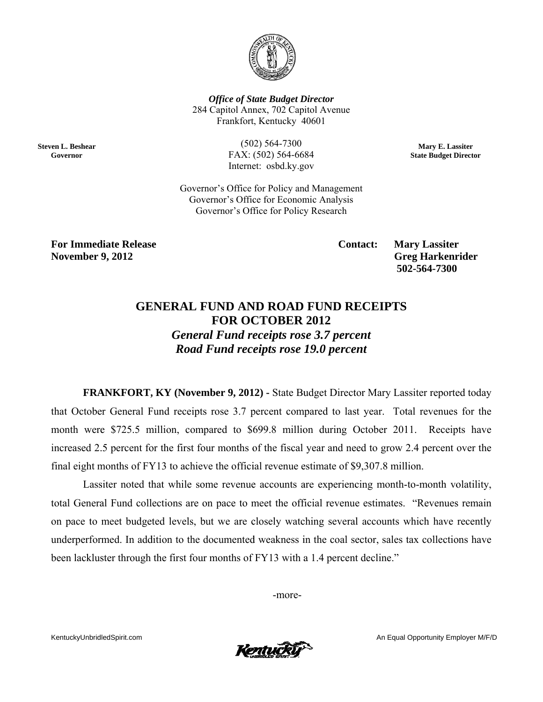

**Office of State Budget Director** 284 Capitol Annex, 702 Capitol Avenue Frankfort, Kentucky 40601

**Steven L. Beshear** Governor

 $(502) 564 - 7300$ FAX: (502) 564-6684 Internet: osbd.ky.gov

Mary E. Lassiter **State Budget Director** 

Governor's Office for Policy and Management Governor's Office for Economic Analysis Governor's Office for Policy Research

**For Immediate Release November 9, 2012** 

**Contact:** 

**Mary Lassiter Greg Harkenrider** 502-564-7300

## **GENERAL FUND AND ROAD FUND RECEIPTS FOR OCTOBER 2012**

**General Fund receipts rose 3.7 percent** Road Fund receipts rose 19.0 percent

FRANKFORT, KY (November 9, 2012) - State Budget Director Mary Lassiter reported today that October General Fund receipts rose 3.7 percent compared to last year. Total revenues for the month were \$725.5 million, compared to \$699.8 million during October 2011. Receipts have increased 2.5 percent for the first four months of the fiscal year and need to grow 2.4 percent over the final eight months of FY13 to achieve the official revenue estimate of \$9,307.8 million.

Lassiter noted that while some revenue accounts are experiencing month-to-month volatility, total General Fund collections are on pace to meet the official revenue estimates. "Revenues remain on pace to meet budgeted levels, but we are closely watching several accounts which have recently underperformed. In addition to the documented weakness in the coal sector, sales tax collections have been lackluster through the first four months of FY13 with a 1.4 percent decline."

-more-

KentuckyUnbridledSpirit.com

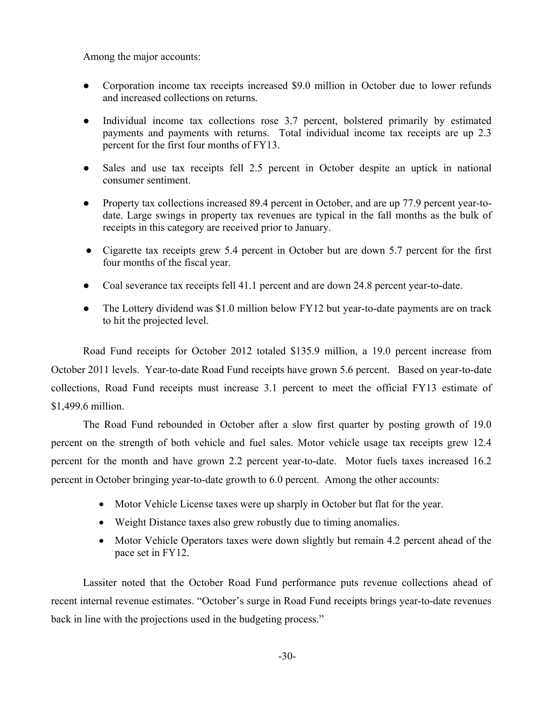Among the major accounts:

- Corporation income tax receipts increased \$9.0 million in October due to lower refunds and increased collections on returns.
- Individual income tax collections rose 3.7 percent, bolstered primarily by estimated payments and payments with returns. Total individual income tax receipts are up 2.3 percent for the first four months of FY13.
- Sales and use tax receipts fell 2.5 percent in October despite an uptick in national consumer sentiment.
- Property tax collections increased 89.4 percent in October, and are up 77.9 percent year-todate. Large swings in property tax revenues are typical in the fall months as the bulk of receipts in this category are received prior to January.
- Cigarette tax receipts grew 5.4 percent in October but are down 5.7 percent for the first four months of the fiscal year.
- Coal severance tax receipts fell 41.1 percent and are down 24.8 percent year-to-date.
- The Lottery dividend was \$1.0 million below FY12 but year-to-date payments are on track to hit the projected level.

Road Fund receipts for October 2012 totaled \$135.9 million, a 19.0 percent increase from October 2011 levels. Year-to-date Road Fund receipts have grown 5.6 percent. Based on year-to-date collections, Road Fund receipts must increase 3.1 percent to meet the official FY13 estimate of \$1,499.6 million.

The Road Fund rebounded in October after a slow first quarter by posting growth of 19.0 percent on the strength of both vehicle and fuel sales. Motor vehicle usage tax receipts grew 12.4 percent for the month and have grown 2.2 percent year-to-date. Motor fuels taxes increased 16.2 percent in October bringing year-to-date growth to 6.0 percent. Among the other accounts:

- Motor Vehicle License taxes were up sharply in October but flat for the year.
- Weight Distance taxes also grew robustly due to timing anomalies.
- Motor Vehicle Operators taxes were down slightly but remain 4.2 percent ahead of the pace set in FY12.

Lassiter noted that the October Road Fund performance puts revenue collections ahead of recent internal revenue estimates. "October's surge in Road Fund receipts brings year-to-date revenues back in line with the projections used in the budgeting process."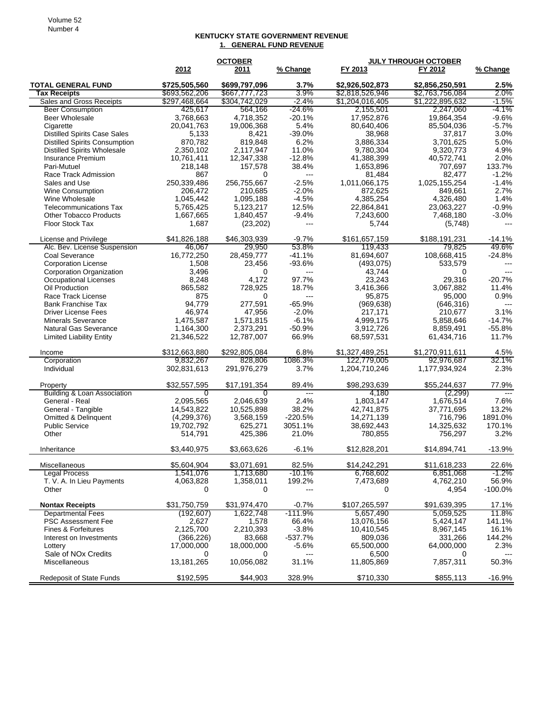## **KENTUCKY STATE GOVERNMENT REVENUE 1. GENERAL FUND REVENUE**

|                                                  |                                | <b>JULY THROUGH OCTOBER</b><br><b>OCTOBER</b> |                          |                                    |                                    |                 |
|--------------------------------------------------|--------------------------------|-----------------------------------------------|--------------------------|------------------------------------|------------------------------------|-----------------|
|                                                  | 2012                           | 2011                                          | % Change                 | FY 2013                            | FY 2012                            | % Change        |
| <b>TOTAL GENERAL FUND</b><br><b>Tax Receipts</b> | \$725,505,560<br>\$693,562,206 | \$699,797,096<br>\$667,777,723                | 3.7%<br>3.9%             | \$2,926,502,873<br>\$2,818,526,946 | \$2,856,250,591<br>\$2,763,756,084 | 2.5%<br>$2.0\%$ |
| Sales and Gross Receipts                         | \$297,468,664                  | \$304,742,029                                 | -2.4%                    | \$1,204,016,405                    | \$1,222,895,632                    | $-1.5\%$        |
| <b>Beer Consumption</b>                          | 425,617                        | 564,166                                       | -24.6%                   | 2,155,501                          | 2,247,060                          | -4.1%           |
| <b>Beer Wholesale</b>                            | 3,768,663                      | 4,718,352                                     | $-20.1%$                 | 17,952,876                         | 19,864,354                         | $-9.6%$         |
| Cigarette                                        | 20,041,763                     | 19,006,368                                    | 5.4%                     | 80,640,406                         | 85,504,036                         | $-5.7%$         |
| <b>Distilled Spirits Case Sales</b>              | 5,133                          | 8,421                                         | $-39.0%$                 | 38,968                             | 37,817                             | 3.0%            |
| <b>Distilled Spirits Consumption</b>             | 870,782                        | 819,848                                       | 6.2%                     | 3,886,334                          | 3,701,625                          | 5.0%            |
| <b>Distilled Spirits Wholesale</b>               | 2.350.102                      | 2,117,947                                     | 11.0%                    | 9,780,304                          | 9,320,773                          | 4.9%            |
| Insurance Premium                                | 10,761,411                     | 12,347,338                                    | $-12.8%$                 | 41,388,399                         | 40,572,741                         | 2.0%            |
| Pari-Mutuel                                      | 218,148                        | 157,578                                       | 38.4%                    | 1,653,896                          | 707,697                            | 133.7%          |
| Race Track Admission                             | 867                            | 0                                             | $\overline{\phantom{a}}$ | 81,484                             | 82,477                             | $-1.2%$         |
| Sales and Use                                    | 250,339,486                    | 256,755,667                                   | $-2.5%$                  | 1,011,066,175                      | 1,025,155,254                      | $-1.4%$         |
| Wine Consumption                                 | 206,472                        | 210,685                                       | $-2.0%$                  | 872,625                            | 849,661                            | 2.7%            |
| Wine Wholesale                                   | 1,045,442                      | 1,095,188                                     | $-4.5%$                  | 4,385,254                          | 4,326,480                          | 1.4%            |
| <b>Telecommunications Tax</b>                    | 5,765,425                      | 5,123,217                                     | 12.5%                    | 22,864,841                         | 23,063,227                         | $-0.9%$         |
| <b>Other Tobacco Products</b>                    | 1,667,665                      | 1,840,457                                     | $-9.4%$                  | 7,243,600                          | 7,468,180                          | $-3.0%$         |
| Floor Stock Tax                                  | 1,687                          | (23, 202)                                     | $---$                    | 5,744                              | (5,748)                            |                 |
| License and Privilege                            | \$41,826,188                   | \$46,303,939                                  | $-9.7%$                  | \$161,657,159                      | \$188.191.231                      | $-14.1%$        |
| Alc. Bev. License Suspension                     | 46,067                         | 29,950                                        | 53.8%                    | 119,433                            | 79,825                             | 49.6%           |
| Coal Severance                                   | 16,772,250                     | 28,459,777                                    | -41.1%                   | 81,694,607                         | 108,668,415                        | -24.8%          |
| <b>Corporation License</b>                       | 1,508                          | 23,456                                        | $-93.6%$                 | (493, 075)                         | 533,579                            | ---             |
| Corporation Organization                         | 3,496                          | 0                                             | ---                      | 43,744                             | 0                                  |                 |
| Occupational Licenses                            | 8,248                          | 4,172                                         | 97.7%                    | 23,243                             | 29,316                             | $-20.7%$        |
| Oil Production                                   | 865,582                        | 728,925                                       | 18.7%                    | 3,416,366                          | 3,067,882                          | 11.4%           |
| Race Track License                               | 875                            | 0                                             | $---$                    | 95.875                             | 95,000                             | 0.9%            |
| <b>Bank Franchise Tax</b>                        | 94,779                         | 277,591                                       | $-65.9%$                 | (969, 638)                         | (646, 316)                         | $---$           |
| Driver License Fees                              | 46,974                         | 47,956                                        | $-2.0%$                  | 217,171                            | 210,677                            | 3.1%            |
| <b>Minerals Severance</b>                        | 1,475,587                      | 1,571,815                                     | $-6.1%$                  | 4,999,175                          | 5,858,646                          | -14.7%          |
| Natural Gas Severance                            | 1,164,300                      | 2,373,291                                     | $-50.9%$                 | 3,912,726                          | 8,859,491                          | $-55.8%$        |
| <b>Limited Liability Entity</b>                  | 21,346,522                     | 12,787,007                                    | 66.9%                    | 68,597,531                         | 61,434,716                         | 11.7%           |
| Income                                           | \$312,663,880                  | \$292,805,084                                 | 6.8%                     | \$1,327,489,251                    | \$1,270,911,611                    | 4.5%            |
| Corporation                                      | 9,832,267                      | 828,806                                       | 1086.3%                  | 122,779,005                        | 92,976,687                         | 32.1%           |
| Individual                                       | 302,831,613                    | 291,976,279                                   | 3.7%                     | 1,204,710,246                      | 1,177,934,924                      | 2.3%            |
| Property                                         | \$32,557,595                   | \$17,191,354                                  | 89.4%                    | \$98,293,639                       | \$55,244,637                       | 77.9%           |
| <b>Building &amp; Loan Association</b>           | 0                              | 0                                             | $---$                    | 4,180                              | (2,299)                            | $\overline{a}$  |
| General - Real                                   | 2,095,565                      | 2,046,639                                     | 2.4%                     | 1,803,147                          | 1,676,514                          | 7.6%            |
| General - Tangible                               | 14,543,822                     | 10,525,898                                    | 38.2%                    | 42,741,875                         | 37,771,695                         | 13.2%           |
| <b>Omitted &amp; Delinquent</b>                  | (4,299,376)                    | 3,568,159                                     | $-220.5%$                | 14,271,139                         | 716,796                            | 1891.0%         |
| <b>Public Service</b>                            | 19,702,792                     | 625,271                                       | 3051.1%                  | 38,692,443                         | 14,325,632                         | 170.1%          |
| Other                                            | 514,791                        | 425,386                                       | 21.0%                    | 780,855                            | 756,297                            | 3.2%            |
| Inheritance                                      | \$3.440.975                    | \$3,663,626                                   | $-6.1%$                  | \$12,828,201                       | \$14,894,741                       | $-13.9%$        |
| Miscellaneous                                    | \$5,604,904                    | \$3,071,691                                   | 82.5%                    | \$14,242,291                       | \$11,618,233                       | 22.6%           |
| Legal Process                                    | 1,541,076                      | 1,713,680                                     | -10.1%                   | 6,768,602                          | 6,851,068                          | $-1.2\%$        |
| T. V. A. In Lieu Payments                        | 4,063,828                      | 1,358,011                                     | 199.2%                   | 7,473,689                          | 4,762,210                          | 56.9%           |
| Other                                            | 0                              | 0                                             | ---                      | 0                                  | 4,954                              | $-100.0%$       |
| <b>Nontax Receipts</b>                           | \$31,750,759                   | \$31,974,470                                  | $-0.7%$                  | \$107,265,597                      | \$91,639,395                       | 17.1%           |
| <b>Departmental Fees</b>                         | (192, 607)                     | 1,622,748                                     | $-111.9%$                | 5,657,490                          | 5,059,525                          | 11.8%           |
| PSC Assessment Fee                               | 2,627                          | 1,578                                         | 66.4%                    | 13,076,156                         | 5,424,147                          | 141.1%          |
| Fines & Forfeitures                              | 2,125,700                      | 2,210,393                                     | $-3.8%$                  | 10,410,545                         | 8,967,145                          | 16.1%           |
| Interest on Investments                          | (366, 226)                     | 83,668                                        | $-537.7%$                | 809,036                            | 331,266                            | 144.2%          |
| Lottery                                          | 17,000,000                     | 18,000,000                                    | $-5.6%$                  | 65,500,000                         | 64,000,000                         | 2.3%            |
| Sale of NO <sub>x</sub> Credits                  | 0                              | 0                                             | ---                      | 6,500                              | 0                                  |                 |
| <b>Miscellaneous</b>                             | 13,181,265                     | 10,056,082                                    | 31.1%                    | 11,805,869                         | 7,857,311                          | 50.3%           |
| <b>Redeposit of State Funds</b>                  | \$192,595                      | \$44,903                                      | 328.9%                   | \$710,330                          | \$855,113                          | $-16.9%$        |